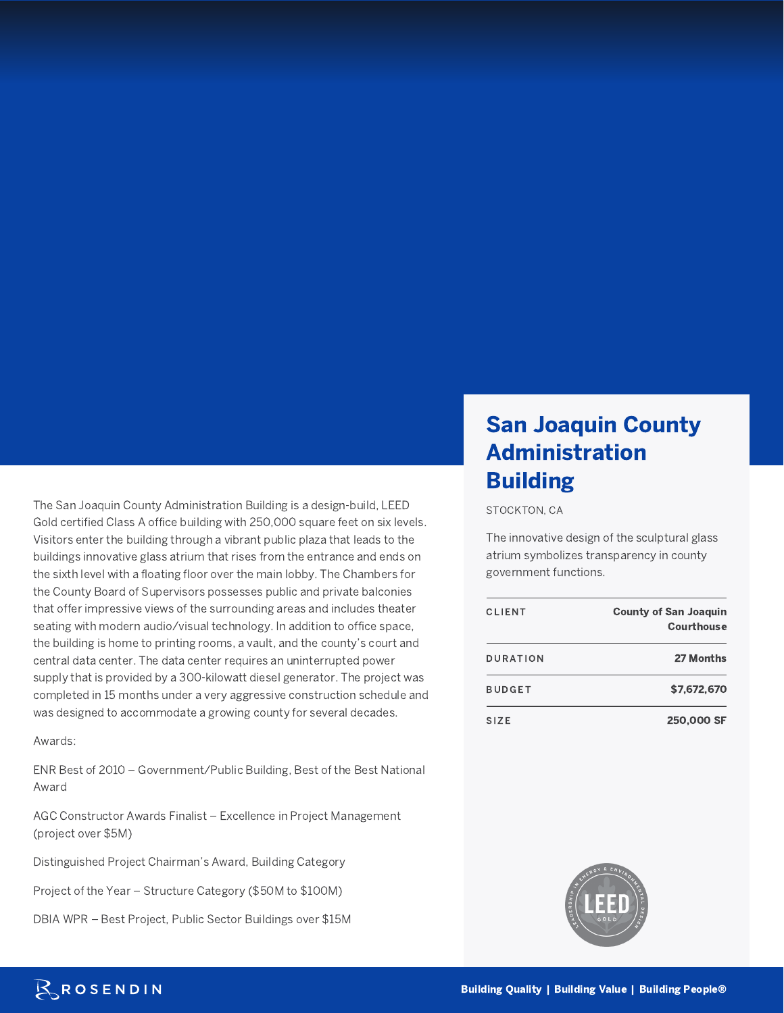The San Joaquin County Administration Building is a design-build, LEED Gold certified Class A office building with 250,000 square feet on six levels. Visitors enter the building through a vibrant public plaza that leads to the buildings innovative glass atrium that rises from the entrance and ends on the sixth level with a floating floor over the main lobby. The Chambers for the County Board of Supervisors possesses public and private balconies that offer impressive views of the surrounding areas and includes theater seating with modern audio/visual technology. In addition to office space, the building is home to printing rooms, a vault, and the county's court and central data center. The data center requires an uninterrupted power supply that is provided by a 300-kilowatt diesel generator. The project was completed in 15 months under a very aggressive construction schedule and was designed to accommodate a growing county for several decades.

Awards:

ENR Best of 2010 – Government/Public Building, Best of the Best National Award

AGC Constructor Awards Finalist – Excellence in Project Management (project over \$5M)

Distinguished Project Chairman's Award, Building Category

Project of the Year – Structure Category (\$50M to \$100M)

DBIA WPR – Best Project, Public Sector Buildings over \$15M

## San Joaquin County Administration Building

STOCKTON, CA

The innovative design of the sculptural glass atrium symbolizes transparency in county government functions.

| <b>CLIENT</b>     | <b>County of San Joaquin</b><br><b>Courthouse</b> |
|-------------------|---------------------------------------------------|
| DURATION          | 27 Months                                         |
| <b>BUDGET</b>     | \$7,672,670                                       |
| S <sub>17</sub> E | 250,000 SF                                        |